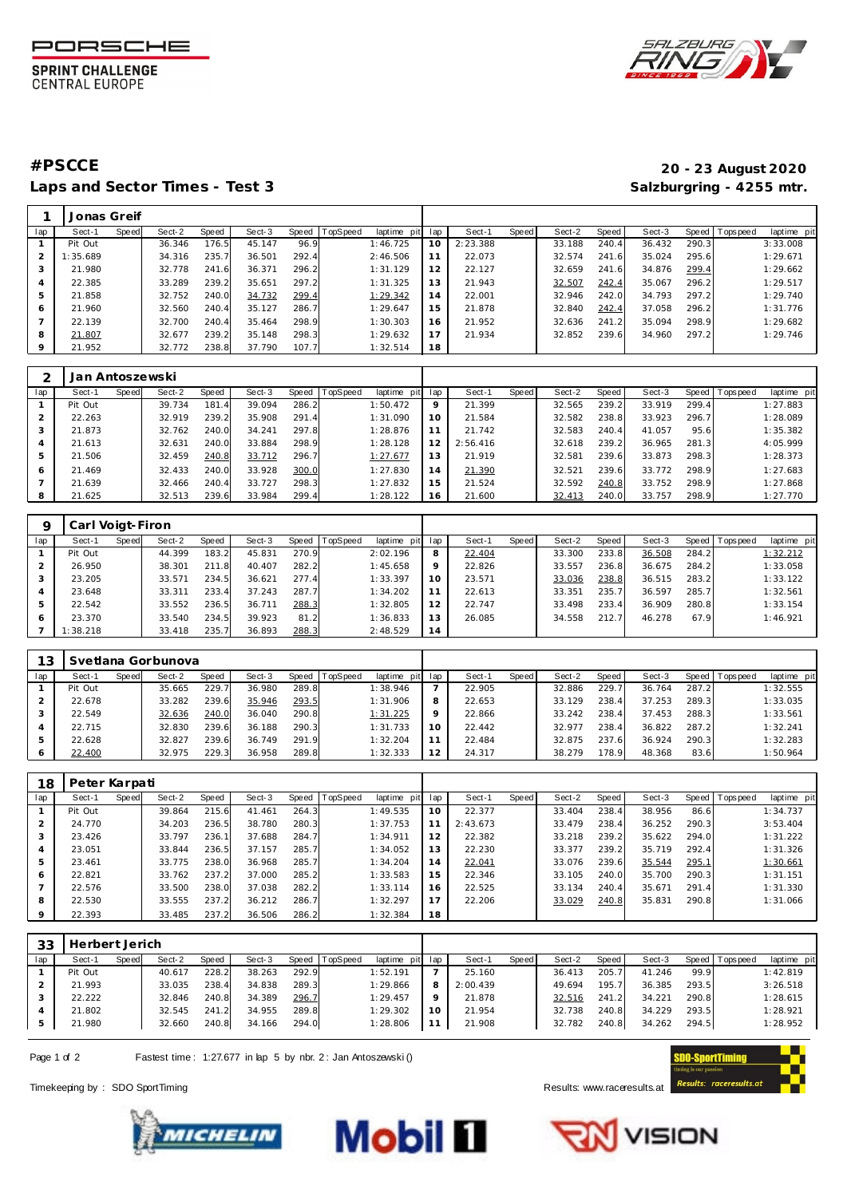

**SPRINT CHALLENGE CENTRAL EUROPE** 



Laps and Sector Times - Test 3 **Salzburgring - 4255 mtr.** And Salzburgring - 4255 mtr.

## **#PSCCE 20 - 23 August 2020**

|                | Jonas Greif |       |        |       |        |       |                |             |     |          |       |        |       |        |       |                   |             |
|----------------|-------------|-------|--------|-------|--------|-------|----------------|-------------|-----|----------|-------|--------|-------|--------|-------|-------------------|-------------|
| lap            | Sect-1      | Speed | Sect-2 | Speed | Sect-3 |       | Speed TopSpeed | laptime pit | lap | Sect-1   | Speed | Sect-2 | Speed | Sect-3 |       | Speed   Tops peed | laptime pit |
|                | Pit Out     |       | 36.346 | 176.5 | 45.147 | 96.9  |                | 1:46.725    | 10  | 2:23.388 |       | 33.188 | 240.4 | 36.432 | 290.3 |                   | 3:33.008    |
| $\overline{2}$ | : 35.689    |       | 34.316 | 235.7 | 36.501 | 292.4 |                | 2:46.506    | 11  | 22.073   |       | 32.574 | 241.6 | 35.024 | 295.6 |                   | 1:29.671    |
| 3              | 21.980      |       | 32.778 | 241.6 | 36.371 | 296.2 |                | 1:31.129    | 12  | 22.127   |       | 32.659 | 241.6 | 34.876 | 299.4 |                   | 1:29.662    |
| 4              | 22.385      |       | 33.289 | 239.2 | 35.651 | 297.2 |                | 1:31.325    | 13  | 21.943   |       | 32.507 | 242.4 | 35.067 | 296.2 |                   | 1:29.517    |
| 5              | 21.858      |       | 32.752 | 240.0 | 34.732 | 299.4 |                | 1:29.342    | 14  | 22.001   |       | 32.946 | 242.0 | 34.793 | 297.2 |                   | 1:29.740    |
| 6              | 21.960      |       | 32.560 | 240.4 | 35.127 | 286.7 |                | 1:29.647    | 15  | 21.878   |       | 32.840 | 242.4 | 37.058 | 296.2 |                   | 1:31.776    |
|                | 22.139      |       | 32.700 | 240.4 | 35.464 | 298.9 |                | 1:30.303    | 16  | 21.952   |       | 32.636 | 241.2 | 35.094 | 298.9 |                   | 1:29.682    |
| 8              | 21.807      |       | 32.677 | 239.2 | 35.148 | 298.3 |                | 1:29.632    | 17  | 21.934   |       | 32.852 | 239.6 | 34.960 | 297.2 |                   | 1:29.746    |
| 9              | 21.952      |       | 32.772 | 238.8 | 37.790 | 107.7 |                | 1:32.514    | 18  |          |       |        |       |        |       |                   |             |

|     | Jan Antoszewski |       |        |            |        |       |                 |             |                |          |       |        |       |        |       |                 |             |
|-----|-----------------|-------|--------|------------|--------|-------|-----------------|-------------|----------------|----------|-------|--------|-------|--------|-------|-----------------|-------------|
| lap | Sect-1          | Speed | Sect-2 | Speed      | Sect-3 | Speed | <b>TopSpeed</b> | laptime pit | lap            | Sect-1   | Speed | Sect-2 | Speed | Sect-3 |       | Speed Tops peed | laptime pit |
|     | Pit Out         |       | 39.734 | 181<br>1.4 | 39.094 | 286.2 |                 | 1:50.472    | $\circ$        | 21.399   |       | 32.565 | 239.2 | 33.919 | 299.4 |                 | 1:27.883    |
|     | 22.263          |       | 32.919 | 239.2      | 35.908 | 291.4 |                 | 1:31.090    | 10             | 21.584   |       | 32.582 | 238.8 | 33.923 | 296.7 |                 | 1:28.089    |
| 3   | 21.873          |       | 32.762 | 240.0      | 34.241 | 297.8 |                 | 1:28.876    |                | 21.742   |       | 32.583 | 240.4 | 41.057 | 95.6  |                 | 1:35.382    |
| 4   | 21.613          |       | 32.631 | 240.0      | 33.884 | 298.9 |                 | 1:28.128    |                | 2:56.416 |       | 32.618 | 239.2 | 36.965 | 281.3 |                 | 4:05.999    |
| 5   | 21.506          |       | 32.459 | 240.8      | 33.712 | 296.7 |                 | 1:27.677    | 13             | 21.919   |       | 32.581 | 239.6 | 33.873 | 298.3 |                 | 1:28.373    |
| 6   | 21.469          |       | 32.433 | 240.0      | 33.928 | 300.0 |                 | 1:27.830    | $\overline{4}$ | 21.390   |       | 32.521 | 239.6 | 33.772 | 298.9 |                 | 1:27.683    |
|     | 21.639          |       | 32.466 | 240.4      | 33.727 | 298.3 |                 | 1:27.832    | 15             | 21.524   |       | 32.592 | 240.8 | 33.752 | 298.9 |                 | 1:27.868    |
| 8   | 21.625          |       | 32.513 | 239.6      | 33.984 | 299.4 |                 | 1:28.122    | $\overline{6}$ | 21.600   |       | 32.413 | 240.0 | 33.757 | 298.9 |                 | 1:27.770    |

|     | Carl Voigt-Firon |       |        |       |        |       |                |             |     |        |       |        |       |        |       |                |             |
|-----|------------------|-------|--------|-------|--------|-------|----------------|-------------|-----|--------|-------|--------|-------|--------|-------|----------------|-------------|
| lap | Sect-1           | Speed | Sect-2 | Speed | Sect-3 |       | Speed TopSpeed | laptime pit | lap | Sect-1 | Speed | Sect-2 | Speed | Sect-3 |       | Speed Topspeed | laptime pit |
|     | Pit Out          |       | 44.399 | 183.2 | 45.831 | 270.9 |                | 2:02.196    | 8   | 22.404 |       | 33.300 | 233.8 | 36.508 | 284.2 |                | 1:32.212    |
|     | 26.950           |       | 38.301 | 211.8 | 40.407 | 282.2 |                | 1:45.658    | 9   | 22.826 |       | 33.557 | 236.8 | 36.675 | 284.2 |                | 1:33.058    |
|     | 23.205           |       | 33.571 | 234.5 | 36.621 | 277.4 |                | 1:33.397    | 10  | 23.571 |       | 33.036 | 238.8 | 36.515 | 283.2 |                | 1:33.122    |
|     | 23.648           |       | 33.311 | 233.4 | 37.243 | 287.7 |                | 1:34.202    |     | 22.613 |       | 33.351 | 235.7 | 36.597 | 285.7 |                | 1:32.561    |
| 5   | 22.542           |       | 33.552 | 236.5 | 36.711 | 288.3 |                | 1:32.805    | 12  | 22.747 |       | 33.498 | 233.4 | 36.909 | 280.8 |                | 1:33.154    |
| 6   | 23.370           |       | 33.540 | 234.5 | 39.923 | 81.2  |                | 1:36.833    | 13  | 26.085 |       | 34.558 | 212.7 | 46.278 | 67.9  |                | 1:46.921    |
|     | 1:38.218         |       | 33.418 | 235.7 | 36.893 | 288.3 |                | 2:48.529    | 14  |        |       |        |       |        |       |                |             |

| 12  |         |       | Svetlana Gorbunova |       |        |       |                |             |                |        |              |        |       |        |       |                 |             |
|-----|---------|-------|--------------------|-------|--------|-------|----------------|-------------|----------------|--------|--------------|--------|-------|--------|-------|-----------------|-------------|
| lap | Sect-1  | Speed | Sect-2             | Speed | Sect-3 |       | Speed TopSpeed | laptime pit | lap            | Sect-1 | <b>Speed</b> | Sect-2 | Speed | Sect-3 |       | Speed Tops peed | laptime pit |
|     | Pit Out |       | 35.665             | 229.7 | 36.980 | 289.8 |                | 1:38.946    |                | 22.905 |              | 32.886 | 229.7 | 36.764 | 287.2 |                 | 1:32.555    |
|     | 22.678  |       | 33.282             | 239.6 | 35.946 | 293.5 |                | 1:31.906    |                | 22.653 |              | 33.129 | 238.4 | 37.253 | 289.3 |                 | 1:33.035    |
|     | 22.549  |       | 32.636             | 240.0 | 36.040 | 290.8 |                | 1:31.225    |                | 22.866 |              | 33.242 | 238.4 | 37.453 | 288.3 |                 | 1:33.561    |
| 4   | 22.715  |       | 32.830             | 239.6 | 36.188 | 290.3 |                | 1:31.733    |                | 22.442 |              | 32.977 | 238.4 | 36.822 | 287.2 |                 | 1:32.241    |
| 5   | 22.628  |       | 32.827             | 239.6 | 36.749 | 291.9 |                | 1:32.204    |                | 22.484 |              | 32.875 | 237.6 | 36.924 | 290.3 |                 | 1:32.283    |
|     | 22.400  |       | 32.975             | 229.3 | 36.958 | 289.8 |                | 1:32.333    | $\overline{2}$ | 24.317 |              | 38.279 | 178.9 | 48.368 | 83.6  |                 | 1:50.964    |

| 18                       | Peter Karpati |       |        |       |        |       |          |             |     |          |       |        |       |        |       |                 |             |
|--------------------------|---------------|-------|--------|-------|--------|-------|----------|-------------|-----|----------|-------|--------|-------|--------|-------|-----------------|-------------|
| lap                      | Sect-1        | Speed | Sect-2 | Speed | Sect-3 | Speed | TopSpeed | laptime pit | lap | Sect-1   | Speed | Sect-2 | Speed | Sect-3 |       | Speed Tops peed | laptime pit |
|                          | Pit Out       |       | 39.864 | 215.6 | 41.461 | 264.3 |          | 1:49.535    | 10  | 22.377   |       | 33.404 | 238.4 | 38.956 | 86.6  |                 | 1:34.737    |
| 2                        | 24.770        |       | 34.203 | 236.5 | 38.780 | 280.3 |          | 1:37.753    |     | 2:43.673 |       | 33.479 | 238.4 | 36.252 | 290.3 |                 | 3:53.404    |
| 3                        | 23.426        |       | 33.797 | 236.1 | 37.688 | 284.7 |          | 1:34.911    | 12  | 22.382   |       | 33.218 | 239.2 | 35.622 | 294.0 |                 | 1:31.222    |
| 4                        | 23.051        |       | 33.844 | 236.5 | 37.157 | 285.7 |          | 1:34.052    | 13  | 22.230   |       | 33.377 | 239.2 | 35.719 | 292.4 |                 | 1:31.326    |
| 5                        | 23.461        |       | 33.775 | 238.0 | 36.968 | 285.7 |          | 1:34.204    | 14  | 22.041   |       | 33.076 | 239.6 | 35.544 | 295.1 |                 | 1:30.661    |
| 6                        | 22.821        |       | 33.762 | 237.2 | 37.000 | 285.2 |          | 1:33.583    | 15  | 22.346   |       | 33.105 | 240.0 | 35.700 | 290.3 |                 | 1:31.151    |
| $\overline{\phantom{a}}$ | 22.576        |       | 33.500 | 238.0 | 37.038 | 282.2 |          | 1:33.114    | 16  | 22.525   |       | 33.134 | 240.4 | 35.671 | 291.4 |                 | 1:31.330    |
| 8                        | 22.530        |       | 33.555 | 237.2 | 36.212 | 286.7 |          | 1:32.297    | 17  | 22.206   |       | 33.029 | 240.8 | 35.831 | 290.8 |                 | 1:31.066    |
| $\circ$                  | 22.393        |       | 33.485 | 237.2 | 36.506 | 286.2 |          | 1:32.384    | 18  |          |       |        |       |        |       |                 |             |

| 33  | Herbert Jerich |       |        |       |        |       |                |             |     |          |       |        |       |        |       |                |             |
|-----|----------------|-------|--------|-------|--------|-------|----------------|-------------|-----|----------|-------|--------|-------|--------|-------|----------------|-------------|
| lap | Sect-1         | Speed | Sect-2 | Speed | Sect-3 |       | Speed TopSpeed | laptime pit | lap | Sect-1   | Speed | Sect-2 | Speed | Sect-3 |       | Speed Topspeed | laptime pit |
|     | Pit Out        |       | 40.617 | 228.2 | 38.263 | 292.9 |                | 1:52.191    |     | 25.160   |       | 36.413 | 205.7 | 41.246 | 99.9  |                | 1:42.819    |
|     | 21.993         |       | 33.035 | 238.4 | 34.838 | 289.3 |                | 1:29.866    | 8   | 2:00.439 |       | 49.694 | 195.7 | 36.385 | 293.5 |                | 3:26.518    |
|     | 22.222         |       | 32.846 | 240.8 | 34.389 | 296.7 |                | 1:29.457    | 9   | 21.878   |       | 32.516 | 241.2 | 34.221 | 290.8 |                | 1:28.615    |
|     | 21.802         |       | 32.545 | 241.2 | 34.955 | 289.8 |                | 1:29.302    | 10  | 21.954   |       | 32.738 | 240.8 | 34.229 | 293.5 |                | 1:28.921    |
|     | 21.980         |       | 32.660 | 240.8 | 34.166 | 294.0 |                | 1:28.806    | 11  | 21.908   |       | 32.782 | 240.8 | 34.262 | 294.5 |                | 1:28.952    |
|     |                |       |        |       |        |       |                |             |     |          |       |        |       |        |       |                |             |

Page 1 of 2 Fastest time: 1:27.677 in lap 5 by nbr. 2: Jan Antoszewski ()

Timekeeping by : SDO SportTiming **Results:** www.raceresults.at







VISION